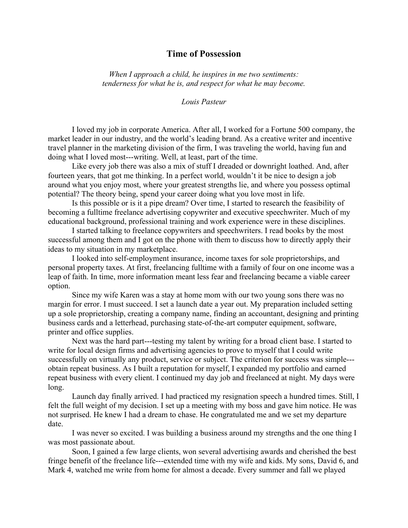## **Time of Possession**

*When I approach a child, he inspires in me two sentiments: tenderness for what he is, and respect for what he may become.*

*Louis Pasteur*

 I loved my job in corporate America. After all, I worked for a Fortune 500 company, the market leader in our industry, and the world's leading brand. As a creative writer and incentive travel planner in the marketing division of the firm, I was traveling the world, having fun and doing what I loved most---writing. Well, at least, part of the time.

Like every job there was also a mix of stuff I dreaded or downright loathed. And, after fourteen years, that got me thinking. In a perfect world, wouldn't it be nice to design a job around what you enjoy most, where your greatest strengths lie, and where you possess optimal potential? The theory being, spend your career doing what you love most in life.

Is this possible or is it a pipe dream? Over time, I started to research the feasibility of becoming a fulltime freelance advertising copywriter and executive speechwriter. Much of my educational background, professional training and work experience were in these disciplines.

I started talking to freelance copywriters and speechwriters. I read books by the most successful among them and I got on the phone with them to discuss how to directly apply their ideas to my situation in my marketplace.

I looked into self-employment insurance, income taxes for sole proprietorships, and personal property taxes. At first, freelancing fulltime with a family of four on one income was a leap of faith. In time, more information meant less fear and freelancing became a viable career option.

Since my wife Karen was a stay at home mom with our two young sons there was no margin for error. I must succeed. I set a launch date a year out. My preparation included setting up a sole proprietorship, creating a company name, finding an accountant, designing and printing business cards and a letterhead, purchasing state-of-the-art computer equipment, software, printer and office supplies.

Next was the hard part---testing my talent by writing for a broad client base. I started to write for local design firms and advertising agencies to prove to myself that I could write successfully on virtually any product, service or subject. The criterion for success was simple-- obtain repeat business. As I built a reputation for myself, I expanded my portfolio and earned repeat business with every client. I continued my day job and freelanced at night. My days were long.

Launch day finally arrived. I had practiced my resignation speech a hundred times. Still, I felt the full weight of my decision. I set up a meeting with my boss and gave him notice. He was not surprised. He knew I had a dream to chase. He congratulated me and we set my departure date.

I was never so excited. I was building a business around my strengths and the one thing I was most passionate about.

Soon, I gained a few large clients, won several advertising awards and cherished the best fringe benefit of the freelance life---extended time with my wife and kids. My sons, David 6, and Mark 4, watched me write from home for almost a decade. Every summer and fall we played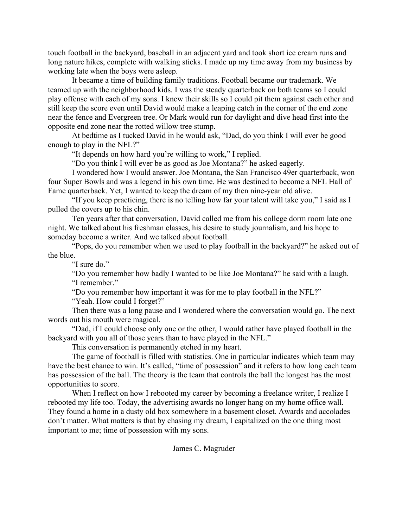touch football in the backyard, baseball in an adjacent yard and took short ice cream runs and long nature hikes, complete with walking sticks. I made up my time away from my business by working late when the boys were asleep.

It became a time of building family traditions. Football became our trademark. We teamed up with the neighborhood kids. I was the steady quarterback on both teams so I could play offense with each of my sons. I knew their skills so I could pit them against each other and still keep the score even until David would make a leaping catch in the corner of the end zone near the fence and Evergreen tree. Or Mark would run for daylight and dive head first into the opposite end zone near the rotted willow tree stump.

At bedtime as I tucked David in he would ask, "Dad, do you think I will ever be good enough to play in the NFL?"

"It depends on how hard you're willing to work," I replied.

"Do you think I will ever be as good as Joe Montana?" he asked eagerly.

I wondered how I would answer. Joe Montana, the San Francisco 49er quarterback, won four Super Bowls and was a legend in his own time. He was destined to become a NFL Hall of Fame quarterback. Yet, I wanted to keep the dream of my then nine-year old alive.

"If you keep practicing, there is no telling how far your talent will take you," I said as I pulled the covers up to his chin.

Ten years after that conversation, David called me from his college dorm room late one night. We talked about his freshman classes, his desire to study journalism, and his hope to someday become a writer. And we talked about football.

"Pops, do you remember when we used to play football in the backyard?" he asked out of the blue.

"I sure do."

"Do you remember how badly I wanted to be like Joe Montana?" he said with a laugh. "I remember."

"Do you remember how important it was for me to play football in the NFL?"

"Yeah. How could I forget?"

Then there was a long pause and I wondered where the conversation would go. The next words out his mouth were magical.

"Dad, if I could choose only one or the other, I would rather have played football in the backyard with you all of those years than to have played in the NFL."

This conversation is permanently etched in my heart.

The game of football is filled with statistics. One in particular indicates which team may have the best chance to win. It's called, "time of possession" and it refers to how long each team has possession of the ball. The theory is the team that controls the ball the longest has the most opportunities to score.

When I reflect on how I rebooted my career by becoming a freelance writer, I realize I rebooted my life too. Today, the advertising awards no longer hang on my home office wall. They found a home in a dusty old box somewhere in a basement closet. Awards and accolades don't matter. What matters is that by chasing my dream, I capitalized on the one thing most important to me; time of possession with my sons.

## James C. Magruder